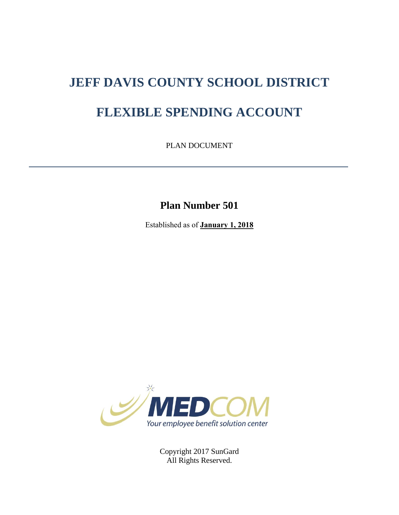# **JEFF DAVIS COUNTY SCHOOL DISTRICT**

## **FLEXIBLE SPENDING ACCOUNT**

PLAN DOCUMENT

**Plan Number 501**

Established as of **January 1, 2018**



Copyright 2017 SunGard All Rights Reserved.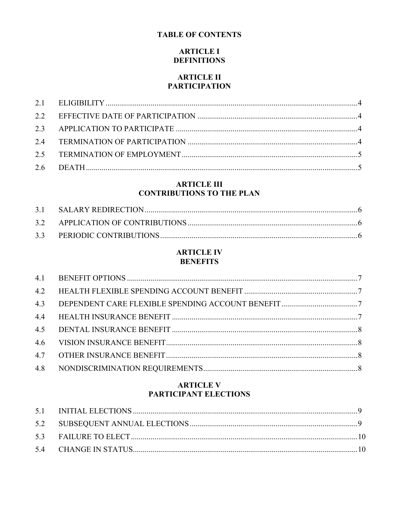## **TABLE OF CONTENTS**

## **ARTICLE I DEFINITIONS**

#### **ARTICLE II PARTICIPATION**

## **ARTICLE III CONTRIBUTIONS TO THE PLAN**

## **ARTICLE IV BENEFITS**

## **ARTICLE V** PARTICIPANT ELECTIONS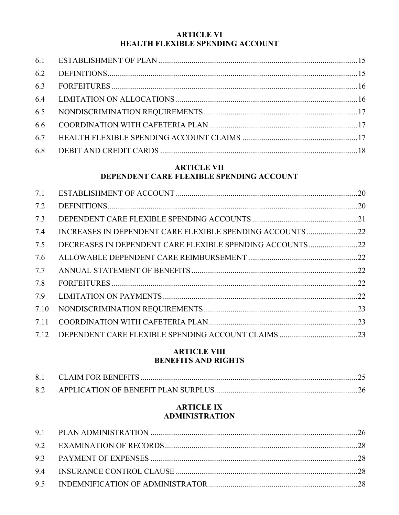#### **ARTICLE VI HEALTH FLEXIBLE SPENDING ACCOUNT**

#### **ARTICLE VII** DEPENDENT CARE FLEXIBLE SPENDING ACCOUNT

| 7.1  |  |
|------|--|
| 7.2  |  |
| 7.3  |  |
| 7.4  |  |
| 7.5  |  |
| 7.6  |  |
| 7.7  |  |
| 7.8  |  |
| 7.9  |  |
| 7.10 |  |
| 7.11 |  |
| 7.12 |  |

## **ARTICLE VIII BENEFITS AND RIGHTS**

## **ARTICLE IX ADMINISTRATION**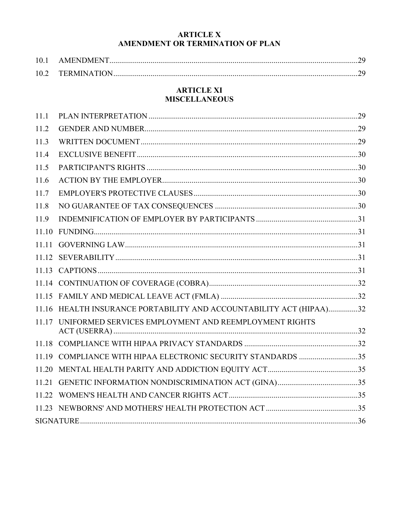## **ARTICLE X** AMENDMENT OR TERMINATION OF PLAN

| 10.1 | AMENDMENT        |  |
|------|------------------|--|
|      | 10.2 TERMINATION |  |

#### **ARTICLE XI MISCELLANEOUS**

| 11.1  |                                                                     |  |
|-------|---------------------------------------------------------------------|--|
| 11.2  |                                                                     |  |
| 11.3  |                                                                     |  |
| 11.4  |                                                                     |  |
| 11.5  |                                                                     |  |
| 11.6  |                                                                     |  |
| 11.7  |                                                                     |  |
| 11.8  |                                                                     |  |
| 11.9  |                                                                     |  |
| 11.10 |                                                                     |  |
| 11.11 |                                                                     |  |
|       |                                                                     |  |
|       |                                                                     |  |
|       |                                                                     |  |
|       |                                                                     |  |
|       | 11.16 HEALTH INSURANCE PORTABILITY AND ACCOUNTABILITY ACT (HIPAA)32 |  |
|       | 11.17 UNIFORMED SERVICES EMPLOYMENT AND REEMPLOYMENT RIGHTS         |  |
|       |                                                                     |  |
|       | 11.19 COMPLIANCE WITH HIPAA ELECTRONIC SECURITY STANDARDS 35        |  |
|       |                                                                     |  |
| 11.21 |                                                                     |  |
|       |                                                                     |  |
|       |                                                                     |  |
|       |                                                                     |  |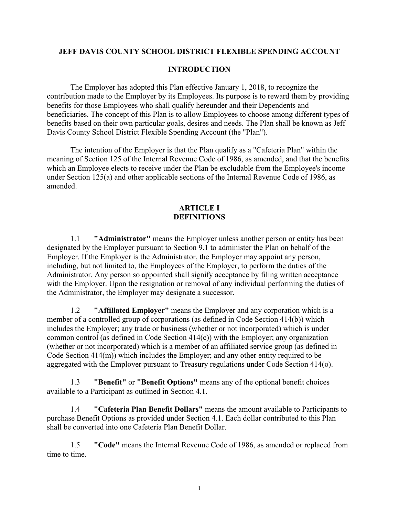#### **JEFF DAVIS COUNTY SCHOOL DISTRICT FLEXIBLE SPENDING ACCOUNT**

#### **INTRODUCTION**

The Employer has adopted this Plan effective January 1, 2018, to recognize the contribution made to the Employer by its Employees. Its purpose is to reward them by providing benefits for those Employees who shall qualify hereunder and their Dependents and beneficiaries. The concept of this Plan is to allow Employees to choose among different types of benefits based on their own particular goals, desires and needs. The Plan shall be known as Jeff Davis County School District Flexible Spending Account (the "Plan").

The intention of the Employer is that the Plan qualify as a "Cafeteria Plan" within the meaning of Section 125 of the Internal Revenue Code of 1986, as amended, and that the benefits which an Employee elects to receive under the Plan be excludable from the Employee's income under Section 125(a) and other applicable sections of the Internal Revenue Code of 1986, as amended.

#### **ARTICLE I DEFINITIONS**

1.1 **"Administrator"** means the Employer unless another person or entity has been designated by the Employer pursuant to Section 9.1 to administer the Plan on behalf of the Employer. If the Employer is the Administrator, the Employer may appoint any person, including, but not limited to, the Employees of the Employer, to perform the duties of the Administrator. Any person so appointed shall signify acceptance by filing written acceptance with the Employer. Upon the resignation or removal of any individual performing the duties of the Administrator, the Employer may designate a successor.

1.2 **"Affiliated Employer"** means the Employer and any corporation which is a member of a controlled group of corporations (as defined in Code Section 414(b)) which includes the Employer; any trade or business (whether or not incorporated) which is under common control (as defined in Code Section 414(c)) with the Employer; any organization (whether or not incorporated) which is a member of an affiliated service group (as defined in Code Section 414(m)) which includes the Employer; and any other entity required to be aggregated with the Employer pursuant to Treasury regulations under Code Section 414(o).

1.3 **"Benefit"** or **"Benefit Options"** means any of the optional benefit choices available to a Participant as outlined in Section 4.1.

1.4 **"Cafeteria Plan Benefit Dollars"** means the amount available to Participants to purchase Benefit Options as provided under Section 4.1. Each dollar contributed to this Plan shall be converted into one Cafeteria Plan Benefit Dollar.

1.5 **"Code"** means the Internal Revenue Code of 1986, as amended or replaced from time to time.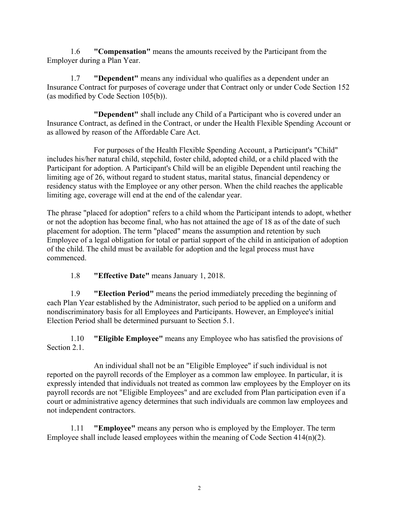1.6 **"Compensation"** means the amounts received by the Participant from the Employer during a Plan Year.

1.7 **"Dependent"** means any individual who qualifies as a dependent under an Insurance Contract for purposes of coverage under that Contract only or under Code Section 152 (as modified by Code Section 105(b)).

**"Dependent"** shall include any Child of a Participant who is covered under an Insurance Contract, as defined in the Contract, or under the Health Flexible Spending Account or as allowed by reason of the Affordable Care Act.

For purposes of the Health Flexible Spending Account, a Participant's "Child" includes his/her natural child, stepchild, foster child, adopted child, or a child placed with the Participant for adoption. A Participant's Child will be an eligible Dependent until reaching the limiting age of 26, without regard to student status, marital status, financial dependency or residency status with the Employee or any other person. When the child reaches the applicable limiting age, coverage will end at the end of the calendar year.

The phrase "placed for adoption" refers to a child whom the Participant intends to adopt, whether or not the adoption has become final, who has not attained the age of 18 as of the date of such placement for adoption. The term "placed" means the assumption and retention by such Employee of a legal obligation for total or partial support of the child in anticipation of adoption of the child. The child must be available for adoption and the legal process must have commenced.

1.8 **"Effective Date"** means January 1, 2018.

1.9 **"Election Period"** means the period immediately preceding the beginning of each Plan Year established by the Administrator, such period to be applied on a uniform and nondiscriminatory basis for all Employees and Participants. However, an Employee's initial Election Period shall be determined pursuant to Section 5.1.

1.10 **"Eligible Employee"** means any Employee who has satisfied the provisions of Section 2.1.

An individual shall not be an "Eligible Employee" if such individual is not reported on the payroll records of the Employer as a common law employee. In particular, it is expressly intended that individuals not treated as common law employees by the Employer on its payroll records are not "Eligible Employees" and are excluded from Plan participation even if a court or administrative agency determines that such individuals are common law employees and not independent contractors.

1.11 **"Employee"** means any person who is employed by the Employer. The term Employee shall include leased employees within the meaning of Code Section 414(n)(2).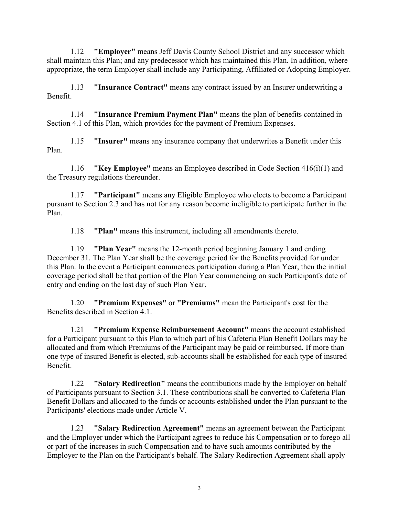1.12 **"Employer"** means Jeff Davis County School District and any successor which shall maintain this Plan; and any predecessor which has maintained this Plan. In addition, where appropriate, the term Employer shall include any Participating, Affiliated or Adopting Employer.

1.13 **"Insurance Contract"** means any contract issued by an Insurer underwriting a Benefit.

1.14 **"Insurance Premium Payment Plan"** means the plan of benefits contained in Section 4.1 of this Plan, which provides for the payment of Premium Expenses.

1.15 **"Insurer"** means any insurance company that underwrites a Benefit under this Plan.

1.16 **"Key Employee"** means an Employee described in Code Section 416(i)(1) and the Treasury regulations thereunder.

1.17 **"Participant"** means any Eligible Employee who elects to become a Participant pursuant to Section 2.3 and has not for any reason become ineligible to participate further in the Plan.

1.18 **"Plan"** means this instrument, including all amendments thereto.

1.19 **"Plan Year"** means the 12-month period beginning January 1 and ending December 31. The Plan Year shall be the coverage period for the Benefits provided for under this Plan. In the event a Participant commences participation during a Plan Year, then the initial coverage period shall be that portion of the Plan Year commencing on such Participant's date of entry and ending on the last day of such Plan Year.

1.20 **"Premium Expenses"** or **"Premiums"** mean the Participant's cost for the Benefits described in Section 4.1.

1.21 **"Premium Expense Reimbursement Account"** means the account established for a Participant pursuant to this Plan to which part of his Cafeteria Plan Benefit Dollars may be allocated and from which Premiums of the Participant may be paid or reimbursed. If more than one type of insured Benefit is elected, sub-accounts shall be established for each type of insured Benefit.

1.22 **"Salary Redirection"** means the contributions made by the Employer on behalf of Participants pursuant to Section 3.1. These contributions shall be converted to Cafeteria Plan Benefit Dollars and allocated to the funds or accounts established under the Plan pursuant to the Participants' elections made under Article V.

1.23 **"Salary Redirection Agreement"** means an agreement between the Participant and the Employer under which the Participant agrees to reduce his Compensation or to forego all or part of the increases in such Compensation and to have such amounts contributed by the Employer to the Plan on the Participant's behalf. The Salary Redirection Agreement shall apply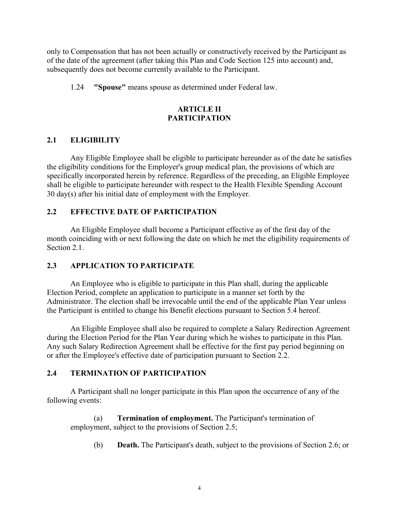only to Compensation that has not been actually or constructively received by the Participant as of the date of the agreement (after taking this Plan and Code Section 125 into account) and, subsequently does not become currently available to the Participant.

1.24 **"Spouse"** means spouse as determined under Federal law.

## **ARTICLE II PARTICIPATION**

## **2.1 ELIGIBILITY**

Any Eligible Employee shall be eligible to participate hereunder as of the date he satisfies the eligibility conditions for the Employer's group medical plan, the provisions of which are specifically incorporated herein by reference. Regardless of the preceding, an Eligible Employee shall be eligible to participate hereunder with respect to the Health Flexible Spending Account 30 day(s) after his initial date of employment with the Employer.

## **2.2 EFFECTIVE DATE OF PARTICIPATION**

An Eligible Employee shall become a Participant effective as of the first day of the month coinciding with or next following the date on which he met the eligibility requirements of Section 2.1.

## **2.3 APPLICATION TO PARTICIPATE**

An Employee who is eligible to participate in this Plan shall, during the applicable Election Period, complete an application to participate in a manner set forth by the Administrator. The election shall be irrevocable until the end of the applicable Plan Year unless the Participant is entitled to change his Benefit elections pursuant to Section 5.4 hereof.

An Eligible Employee shall also be required to complete a Salary Redirection Agreement during the Election Period for the Plan Year during which he wishes to participate in this Plan. Any such Salary Redirection Agreement shall be effective for the first pay period beginning on or after the Employee's effective date of participation pursuant to Section 2.2.

## **2.4 TERMINATION OF PARTICIPATION**

A Participant shall no longer participate in this Plan upon the occurrence of any of the following events:

(a) **Termination of employment.** The Participant's termination of employment, subject to the provisions of Section 2.5;

(b) **Death.** The Participant's death, subject to the provisions of Section 2.6; or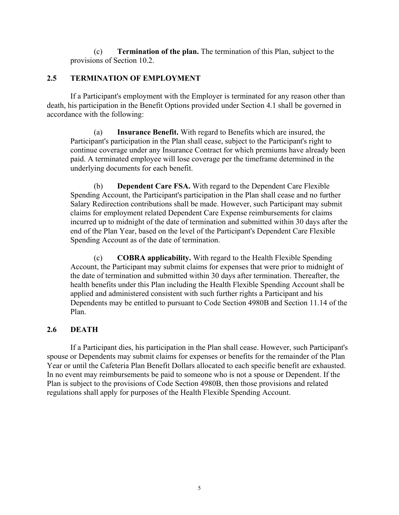(c) **Termination of the plan.** The termination of this Plan, subject to the provisions of Section 10.2.

## **2.5 TERMINATION OF EMPLOYMENT**

If a Participant's employment with the Employer is terminated for any reason other than death, his participation in the Benefit Options provided under Section 4.1 shall be governed in accordance with the following:

(a) **Insurance Benefit.** With regard to Benefits which are insured, the Participant's participation in the Plan shall cease, subject to the Participant's right to continue coverage under any Insurance Contract for which premiums have already been paid. A terminated employee will lose coverage per the timeframe determined in the underlying documents for each benefit.

(b) **Dependent Care FSA.** With regard to the Dependent Care Flexible Spending Account, the Participant's participation in the Plan shall cease and no further Salary Redirection contributions shall be made. However, such Participant may submit claims for employment related Dependent Care Expense reimbursements for claims incurred up to midnight of the date of termination and submitted within 30 days after the end of the Plan Year, based on the level of the Participant's Dependent Care Flexible Spending Account as of the date of termination.

(c) **COBRA applicability.** With regard to the Health Flexible Spending Account, the Participant may submit claims for expenses that were prior to midnight of the date of termination and submitted within 30 days after termination. Thereafter, the health benefits under this Plan including the Health Flexible Spending Account shall be applied and administered consistent with such further rights a Participant and his Dependents may be entitled to pursuant to Code Section 4980B and Section 11.14 of the Plan.

## **2.6 DEATH**

If a Participant dies, his participation in the Plan shall cease. However, such Participant's spouse or Dependents may submit claims for expenses or benefits for the remainder of the Plan Year or until the Cafeteria Plan Benefit Dollars allocated to each specific benefit are exhausted. In no event may reimbursements be paid to someone who is not a spouse or Dependent. If the Plan is subject to the provisions of Code Section 4980B, then those provisions and related regulations shall apply for purposes of the Health Flexible Spending Account.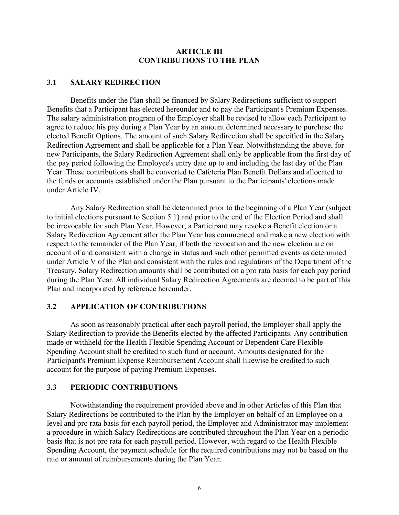#### **ARTICLE III CONTRIBUTIONS TO THE PLAN**

#### **3.1 SALARY REDIRECTION**

Benefits under the Plan shall be financed by Salary Redirections sufficient to support Benefits that a Participant has elected hereunder and to pay the Participant's Premium Expenses. The salary administration program of the Employer shall be revised to allow each Participant to agree to reduce his pay during a Plan Year by an amount determined necessary to purchase the elected Benefit Options. The amount of such Salary Redirection shall be specified in the Salary Redirection Agreement and shall be applicable for a Plan Year. Notwithstanding the above, for new Participants, the Salary Redirection Agreement shall only be applicable from the first day of the pay period following the Employee's entry date up to and including the last day of the Plan Year. These contributions shall be converted to Cafeteria Plan Benefit Dollars and allocated to the funds or accounts established under the Plan pursuant to the Participants' elections made under Article IV.

Any Salary Redirection shall be determined prior to the beginning of a Plan Year (subject to initial elections pursuant to Section 5.1) and prior to the end of the Election Period and shall be irrevocable for such Plan Year. However, a Participant may revoke a Benefit election or a Salary Redirection Agreement after the Plan Year has commenced and make a new election with respect to the remainder of the Plan Year, if both the revocation and the new election are on account of and consistent with a change in status and such other permitted events as determined under Article V of the Plan and consistent with the rules and regulations of the Department of the Treasury. Salary Redirection amounts shall be contributed on a pro rata basis for each pay period during the Plan Year. All individual Salary Redirection Agreements are deemed to be part of this Plan and incorporated by reference hereunder.

#### **3.2 APPLICATION OF CONTRIBUTIONS**

As soon as reasonably practical after each payroll period, the Employer shall apply the Salary Redirection to provide the Benefits elected by the affected Participants. Any contribution made or withheld for the Health Flexible Spending Account or Dependent Care Flexible Spending Account shall be credited to such fund or account. Amounts designated for the Participant's Premium Expense Reimbursement Account shall likewise be credited to such account for the purpose of paying Premium Expenses.

#### **3.3 PERIODIC CONTRIBUTIONS**

Notwithstanding the requirement provided above and in other Articles of this Plan that Salary Redirections be contributed to the Plan by the Employer on behalf of an Employee on a level and pro rata basis for each payroll period, the Employer and Administrator may implement a procedure in which Salary Redirections are contributed throughout the Plan Year on a periodic basis that is not pro rata for each payroll period. However, with regard to the Health Flexible Spending Account, the payment schedule for the required contributions may not be based on the rate or amount of reimbursements during the Plan Year.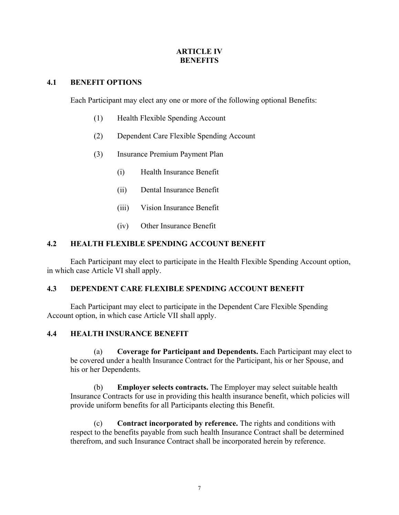## **ARTICLE IV BENEFITS**

#### **4.1 BENEFIT OPTIONS**

Each Participant may elect any one or more of the following optional Benefits:

- (1) Health Flexible Spending Account
- (2) Dependent Care Flexible Spending Account
- (3) Insurance Premium Payment Plan
	- (i) Health Insurance Benefit
	- (ii) Dental Insurance Benefit
	- (iii) Vision Insurance Benefit
	- (iv) Other Insurance Benefit

#### **4.2 HEALTH FLEXIBLE SPENDING ACCOUNT BENEFIT**

Each Participant may elect to participate in the Health Flexible Spending Account option, in which case Article VI shall apply.

## **4.3 DEPENDENT CARE FLEXIBLE SPENDING ACCOUNT BENEFIT**

Each Participant may elect to participate in the Dependent Care Flexible Spending Account option, in which case Article VII shall apply.

#### **4.4 HEALTH INSURANCE BENEFIT**

(a) **Coverage for Participant and Dependents.** Each Participant may elect to be covered under a health Insurance Contract for the Participant, his or her Spouse, and his or her Dependents.

(b) **Employer selects contracts.** The Employer may select suitable health Insurance Contracts for use in providing this health insurance benefit, which policies will provide uniform benefits for all Participants electing this Benefit.

(c) **Contract incorporated by reference.** The rights and conditions with respect to the benefits payable from such health Insurance Contract shall be determined therefrom, and such Insurance Contract shall be incorporated herein by reference.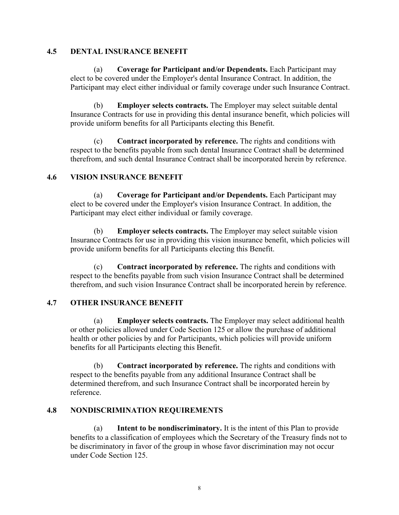#### **4.5 DENTAL INSURANCE BENEFIT**

(a) **Coverage for Participant and/or Dependents.** Each Participant may elect to be covered under the Employer's dental Insurance Contract. In addition, the Participant may elect either individual or family coverage under such Insurance Contract.

(b) **Employer selects contracts.** The Employer may select suitable dental Insurance Contracts for use in providing this dental insurance benefit, which policies will provide uniform benefits for all Participants electing this Benefit.

(c) **Contract incorporated by reference.** The rights and conditions with respect to the benefits payable from such dental Insurance Contract shall be determined therefrom, and such dental Insurance Contract shall be incorporated herein by reference.

## **4.6 VISION INSURANCE BENEFIT**

(a) **Coverage for Participant and/or Dependents.** Each Participant may elect to be covered under the Employer's vision Insurance Contract. In addition, the Participant may elect either individual or family coverage.

(b) **Employer selects contracts.** The Employer may select suitable vision Insurance Contracts for use in providing this vision insurance benefit, which policies will provide uniform benefits for all Participants electing this Benefit.

(c) **Contract incorporated by reference.** The rights and conditions with respect to the benefits payable from such vision Insurance Contract shall be determined therefrom, and such vision Insurance Contract shall be incorporated herein by reference.

## **4.7 OTHER INSURANCE BENEFIT**

(a) **Employer selects contracts.** The Employer may select additional health or other policies allowed under Code Section 125 or allow the purchase of additional health or other policies by and for Participants, which policies will provide uniform benefits for all Participants electing this Benefit.

(b) **Contract incorporated by reference.** The rights and conditions with respect to the benefits payable from any additional Insurance Contract shall be determined therefrom, and such Insurance Contract shall be incorporated herein by reference.

#### **4.8 NONDISCRIMINATION REQUIREMENTS**

(a) **Intent to be nondiscriminatory.** It is the intent of this Plan to provide benefits to a classification of employees which the Secretary of the Treasury finds not to be discriminatory in favor of the group in whose favor discrimination may not occur under Code Section 125.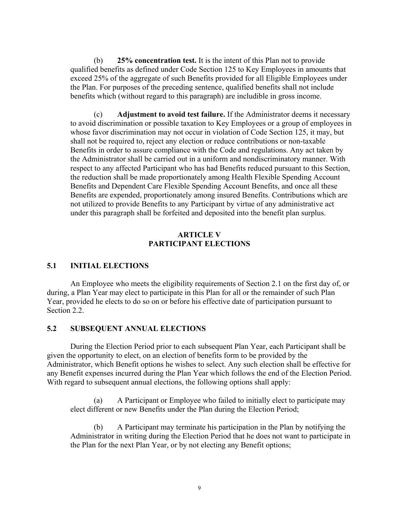(b) **25% concentration test.** It is the intent of this Plan not to provide qualified benefits as defined under Code Section 125 to Key Employees in amounts that exceed 25% of the aggregate of such Benefits provided for all Eligible Employees under the Plan. For purposes of the preceding sentence, qualified benefits shall not include benefits which (without regard to this paragraph) are includible in gross income.

(c) **Adjustment to avoid test failure.** If the Administrator deems it necessary to avoid discrimination or possible taxation to Key Employees or a group of employees in whose favor discrimination may not occur in violation of Code Section 125, it may, but shall not be required to, reject any election or reduce contributions or non-taxable Benefits in order to assure compliance with the Code and regulations. Any act taken by the Administrator shall be carried out in a uniform and nondiscriminatory manner. With respect to any affected Participant who has had Benefits reduced pursuant to this Section, the reduction shall be made proportionately among Health Flexible Spending Account Benefits and Dependent Care Flexible Spending Account Benefits, and once all these Benefits are expended, proportionately among insured Benefits. Contributions which are not utilized to provide Benefits to any Participant by virtue of any administrative act under this paragraph shall be forfeited and deposited into the benefit plan surplus.

#### **ARTICLE V PARTICIPANT ELECTIONS**

#### **5.1 INITIAL ELECTIONS**

An Employee who meets the eligibility requirements of Section 2.1 on the first day of, or during, a Plan Year may elect to participate in this Plan for all or the remainder of such Plan Year, provided he elects to do so on or before his effective date of participation pursuant to Section 2.2.

#### **5.2 SUBSEQUENT ANNUAL ELECTIONS**

During the Election Period prior to each subsequent Plan Year, each Participant shall be given the opportunity to elect, on an election of benefits form to be provided by the Administrator, which Benefit options he wishes to select. Any such election shall be effective for any Benefit expenses incurred during the Plan Year which follows the end of the Election Period. With regard to subsequent annual elections, the following options shall apply:

(a) A Participant or Employee who failed to initially elect to participate may elect different or new Benefits under the Plan during the Election Period;

(b) A Participant may terminate his participation in the Plan by notifying the Administrator in writing during the Election Period that he does not want to participate in the Plan for the next Plan Year, or by not electing any Benefit options;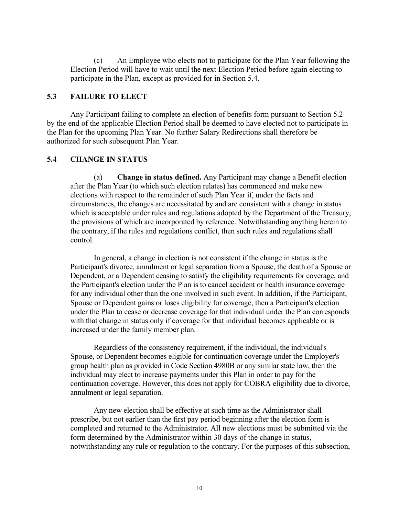(c) An Employee who elects not to participate for the Plan Year following the Election Period will have to wait until the next Election Period before again electing to participate in the Plan, except as provided for in Section 5.4.

#### **5.3 FAILURE TO ELECT**

Any Participant failing to complete an election of benefits form pursuant to Section 5.2 by the end of the applicable Election Period shall be deemed to have elected not to participate in the Plan for the upcoming Plan Year. No further Salary Redirections shall therefore be authorized for such subsequent Plan Year.

#### **5.4 CHANGE IN STATUS**

(a) **Change in status defined.** Any Participant may change a Benefit election after the Plan Year (to which such election relates) has commenced and make new elections with respect to the remainder of such Plan Year if, under the facts and circumstances, the changes are necessitated by and are consistent with a change in status which is acceptable under rules and regulations adopted by the Department of the Treasury, the provisions of which are incorporated by reference. Notwithstanding anything herein to the contrary, if the rules and regulations conflict, then such rules and regulations shall control.

In general, a change in election is not consistent if the change in status is the Participant's divorce, annulment or legal separation from a Spouse, the death of a Spouse or Dependent, or a Dependent ceasing to satisfy the eligibility requirements for coverage, and the Participant's election under the Plan is to cancel accident or health insurance coverage for any individual other than the one involved in such event. In addition, if the Participant, Spouse or Dependent gains or loses eligibility for coverage, then a Participant's election under the Plan to cease or decrease coverage for that individual under the Plan corresponds with that change in status only if coverage for that individual becomes applicable or is increased under the family member plan.

Regardless of the consistency requirement, if the individual, the individual's Spouse, or Dependent becomes eligible for continuation coverage under the Employer's group health plan as provided in Code Section 4980B or any similar state law, then the individual may elect to increase payments under this Plan in order to pay for the continuation coverage. However, this does not apply for COBRA eligibility due to divorce, annulment or legal separation.

Any new election shall be effective at such time as the Administrator shall prescribe, but not earlier than the first pay period beginning after the election form is completed and returned to the Administrator. All new elections must be submitted via the form determined by the Administrator within 30 days of the change in status, notwithstanding any rule or regulation to the contrary. For the purposes of this subsection,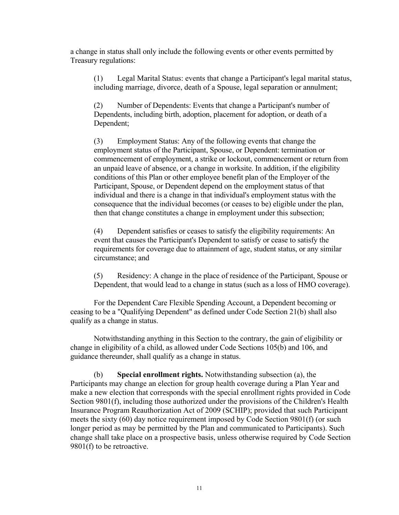a change in status shall only include the following events or other events permitted by Treasury regulations:

(1) Legal Marital Status: events that change a Participant's legal marital status, including marriage, divorce, death of a Spouse, legal separation or annulment;

(2) Number of Dependents: Events that change a Participant's number of Dependents, including birth, adoption, placement for adoption, or death of a Dependent;

(3) Employment Status: Any of the following events that change the employment status of the Participant, Spouse, or Dependent: termination or commencement of employment, a strike or lockout, commencement or return from an unpaid leave of absence, or a change in worksite. In addition, if the eligibility conditions of this Plan or other employee benefit plan of the Employer of the Participant, Spouse, or Dependent depend on the employment status of that individual and there is a change in that individual's employment status with the consequence that the individual becomes (or ceases to be) eligible under the plan, then that change constitutes a change in employment under this subsection;

(4) Dependent satisfies or ceases to satisfy the eligibility requirements: An event that causes the Participant's Dependent to satisfy or cease to satisfy the requirements for coverage due to attainment of age, student status, or any similar circumstance; and

(5) Residency: A change in the place of residence of the Participant, Spouse or Dependent, that would lead to a change in status (such as a loss of HMO coverage).

For the Dependent Care Flexible Spending Account, a Dependent becoming or ceasing to be a "Qualifying Dependent" as defined under Code Section 21(b) shall also qualify as a change in status.

Notwithstanding anything in this Section to the contrary, the gain of eligibility or change in eligibility of a child, as allowed under Code Sections 105(b) and 106, and guidance thereunder, shall qualify as a change in status.

(b) **Special enrollment rights.** Notwithstanding subsection (a), the Participants may change an election for group health coverage during a Plan Year and make a new election that corresponds with the special enrollment rights provided in Code Section 9801(f), including those authorized under the provisions of the Children's Health Insurance Program Reauthorization Act of 2009 (SCHIP); provided that such Participant meets the sixty (60) day notice requirement imposed by Code Section 9801(f) (or such longer period as may be permitted by the Plan and communicated to Participants). Such change shall take place on a prospective basis, unless otherwise required by Code Section 9801(f) to be retroactive.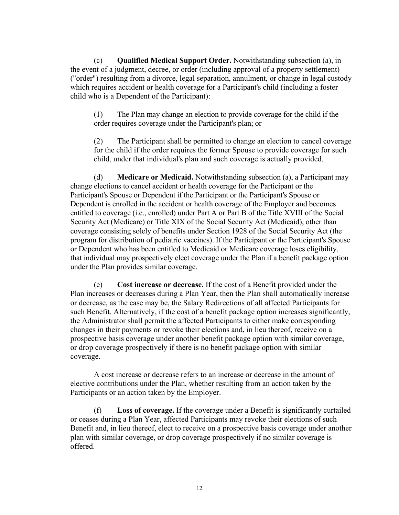(c) **Qualified Medical Support Order.** Notwithstanding subsection (a), in the event of a judgment, decree, or order (including approval of a property settlement) ("order") resulting from a divorce, legal separation, annulment, or change in legal custody which requires accident or health coverage for a Participant's child (including a foster child who is a Dependent of the Participant):

(1) The Plan may change an election to provide coverage for the child if the order requires coverage under the Participant's plan; or

(2) The Participant shall be permitted to change an election to cancel coverage for the child if the order requires the former Spouse to provide coverage for such child, under that individual's plan and such coverage is actually provided.

(d) **Medicare or Medicaid.** Notwithstanding subsection (a), a Participant may change elections to cancel accident or health coverage for the Participant or the Participant's Spouse or Dependent if the Participant or the Participant's Spouse or Dependent is enrolled in the accident or health coverage of the Employer and becomes entitled to coverage (i.e., enrolled) under Part A or Part B of the Title XVIII of the Social Security Act (Medicare) or Title XIX of the Social Security Act (Medicaid), other than coverage consisting solely of benefits under Section 1928 of the Social Security Act (the program for distribution of pediatric vaccines). If the Participant or the Participant's Spouse or Dependent who has been entitled to Medicaid or Medicare coverage loses eligibility, that individual may prospectively elect coverage under the Plan if a benefit package option under the Plan provides similar coverage.

(e) **Cost increase or decrease.** If the cost of a Benefit provided under the Plan increases or decreases during a Plan Year, then the Plan shall automatically increase or decrease, as the case may be, the Salary Redirections of all affected Participants for such Benefit. Alternatively, if the cost of a benefit package option increases significantly, the Administrator shall permit the affected Participants to either make corresponding changes in their payments or revoke their elections and, in lieu thereof, receive on a prospective basis coverage under another benefit package option with similar coverage, or drop coverage prospectively if there is no benefit package option with similar coverage.

A cost increase or decrease refers to an increase or decrease in the amount of elective contributions under the Plan, whether resulting from an action taken by the Participants or an action taken by the Employer.

(f) **Loss of coverage.** If the coverage under a Benefit is significantly curtailed or ceases during a Plan Year, affected Participants may revoke their elections of such Benefit and, in lieu thereof, elect to receive on a prospective basis coverage under another plan with similar coverage, or drop coverage prospectively if no similar coverage is offered.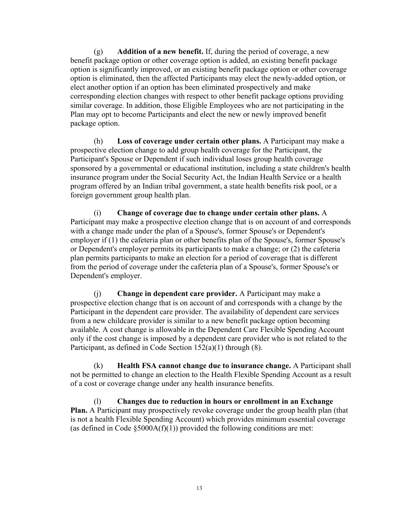(g) **Addition of a new benefit.** If, during the period of coverage, a new benefit package option or other coverage option is added, an existing benefit package option is significantly improved, or an existing benefit package option or other coverage option is eliminated, then the affected Participants may elect the newly-added option, or elect another option if an option has been eliminated prospectively and make corresponding election changes with respect to other benefit package options providing similar coverage. In addition, those Eligible Employees who are not participating in the Plan may opt to become Participants and elect the new or newly improved benefit package option.

(h) **Loss of coverage under certain other plans.** A Participant may make a prospective election change to add group health coverage for the Participant, the Participant's Spouse or Dependent if such individual loses group health coverage sponsored by a governmental or educational institution, including a state children's health insurance program under the Social Security Act, the Indian Health Service or a health program offered by an Indian tribal government, a state health benefits risk pool, or a foreign government group health plan.

(i) **Change of coverage due to change under certain other plans.** A Participant may make a prospective election change that is on account of and corresponds with a change made under the plan of a Spouse's, former Spouse's or Dependent's employer if (1) the cafeteria plan or other benefits plan of the Spouse's, former Spouse's or Dependent's employer permits its participants to make a change; or (2) the cafeteria plan permits participants to make an election for a period of coverage that is different from the period of coverage under the cafeteria plan of a Spouse's, former Spouse's or Dependent's employer.

(j) **Change in dependent care provider.** A Participant may make a prospective election change that is on account of and corresponds with a change by the Participant in the dependent care provider. The availability of dependent care services from a new childcare provider is similar to a new benefit package option becoming available. A cost change is allowable in the Dependent Care Flexible Spending Account only if the cost change is imposed by a dependent care provider who is not related to the Participant, as defined in Code Section 152(a)(1) through (8).

(k) **Health FSA cannot change due to insurance change.** A Participant shall not be permitted to change an election to the Health Flexible Spending Account as a result of a cost or coverage change under any health insurance benefits.

(l) **Changes due to reduction in hours or enrollment in an Exchange Plan.** A Participant may prospectively revoke coverage under the group health plan (that is not a health Flexible Spending Account) which provides minimum essential coverage (as defined in Code  $\S 5000A(f)(1)$ ) provided the following conditions are met: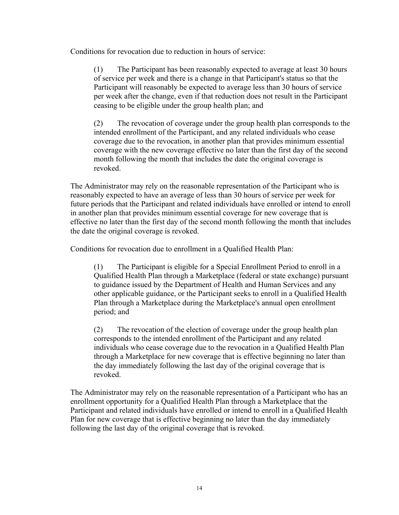Conditions for revocation due to reduction in hours of service:

(1) The Participant has been reasonably expected to average at least 30 hours of service per week and there is a change in that Participant's status so that the Participant will reasonably be expected to average less than 30 hours of service per week after the change, even if that reduction does not result in the Participant ceasing to be eligible under the group health plan; and

(2) The revocation of coverage under the group health plan corresponds to the intended enrollment of the Participant, and any related individuals who cease coverage due to the revocation, in another plan that provides minimum essential coverage with the new coverage effective no later than the first day of the second month following the month that includes the date the original coverage is revoked.

The Administrator may rely on the reasonable representation of the Participant who is reasonably expected to have an average of less than 30 hours of service per week for future periods that the Participant and related individuals have enrolled or intend to enroll in another plan that provides minimum essential coverage for new coverage that is effective no later than the first day of the second month following the month that includes the date the original coverage is revoked.

Conditions for revocation due to enrollment in a Qualified Health Plan:

(1) The Participant is eligible for a Special Enrollment Period to enroll in a Qualified Health Plan through a Marketplace (federal or state exchange) pursuant to guidance issued by the Department of Health and Human Services and any other applicable guidance, or the Participant seeks to enroll in a Qualified Health Plan through a Marketplace during the Marketplace's annual open enrollment period; and

(2) The revocation of the election of coverage under the group health plan corresponds to the intended enrollment of the Participant and any related individuals who cease coverage due to the revocation in a Qualified Health Plan through a Marketplace for new coverage that is effective beginning no later than the day immediately following the last day of the original coverage that is revoked.

The Administrator may rely on the reasonable representation of a Participant who has an enrollment opportunity for a Qualified Health Plan through a Marketplace that the Participant and related individuals have enrolled or intend to enroll in a Qualified Health Plan for new coverage that is effective beginning no later than the day immediately following the last day of the original coverage that is revoked.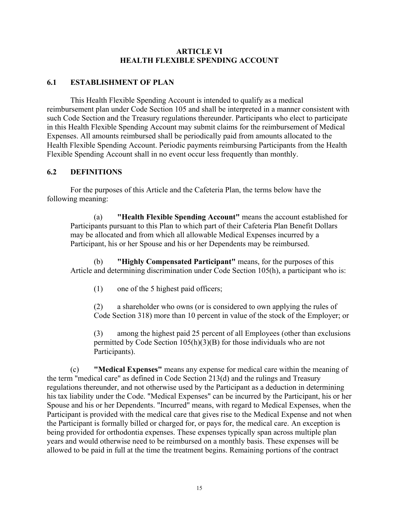#### **ARTICLE VI HEALTH FLEXIBLE SPENDING ACCOUNT**

## **6.1 ESTABLISHMENT OF PLAN**

This Health Flexible Spending Account is intended to qualify as a medical reimbursement plan under Code Section 105 and shall be interpreted in a manner consistent with such Code Section and the Treasury regulations thereunder. Participants who elect to participate in this Health Flexible Spending Account may submit claims for the reimbursement of Medical Expenses. All amounts reimbursed shall be periodically paid from amounts allocated to the Health Flexible Spending Account. Periodic payments reimbursing Participants from the Health Flexible Spending Account shall in no event occur less frequently than monthly.

## **6.2 DEFINITIONS**

For the purposes of this Article and the Cafeteria Plan, the terms below have the following meaning:

(a) **"Health Flexible Spending Account"** means the account established for Participants pursuant to this Plan to which part of their Cafeteria Plan Benefit Dollars may be allocated and from which all allowable Medical Expenses incurred by a Participant, his or her Spouse and his or her Dependents may be reimbursed.

(b) **"Highly Compensated Participant"** means, for the purposes of this Article and determining discrimination under Code Section 105(h), a participant who is:

(1) one of the 5 highest paid officers;

(2) a shareholder who owns (or is considered to own applying the rules of Code Section 318) more than 10 percent in value of the stock of the Employer; or

(3) among the highest paid 25 percent of all Employees (other than exclusions permitted by Code Section 105(h)(3)(B) for those individuals who are not Participants).

(c) **"Medical Expenses"** means any expense for medical care within the meaning of the term "medical care" as defined in Code Section 213(d) and the rulings and Treasury regulations thereunder, and not otherwise used by the Participant as a deduction in determining his tax liability under the Code. "Medical Expenses" can be incurred by the Participant, his or her Spouse and his or her Dependents. "Incurred" means, with regard to Medical Expenses, when the Participant is provided with the medical care that gives rise to the Medical Expense and not when the Participant is formally billed or charged for, or pays for, the medical care. An exception is being provided for orthodontia expenses. These expenses typically span across multiple plan years and would otherwise need to be reimbursed on a monthly basis. These expenses will be allowed to be paid in full at the time the treatment begins. Remaining portions of the contract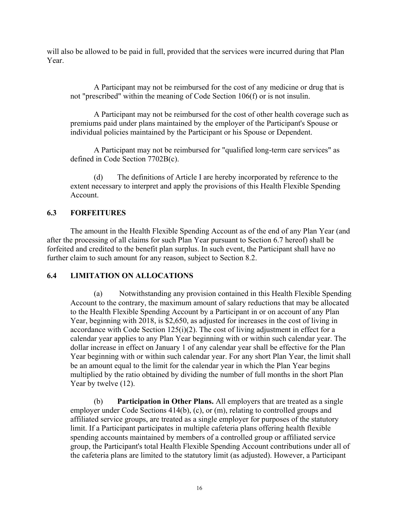will also be allowed to be paid in full, provided that the services were incurred during that Plan Year.

A Participant may not be reimbursed for the cost of any medicine or drug that is not "prescribed" within the meaning of Code Section 106(f) or is not insulin.

A Participant may not be reimbursed for the cost of other health coverage such as premiums paid under plans maintained by the employer of the Participant's Spouse or individual policies maintained by the Participant or his Spouse or Dependent.

A Participant may not be reimbursed for "qualified long-term care services" as defined in Code Section 7702B(c).

(d) The definitions of Article I are hereby incorporated by reference to the extent necessary to interpret and apply the provisions of this Health Flexible Spending Account.

## **6.3 FORFEITURES**

The amount in the Health Flexible Spending Account as of the end of any Plan Year (and after the processing of all claims for such Plan Year pursuant to Section 6.7 hereof) shall be forfeited and credited to the benefit plan surplus. In such event, the Participant shall have no further claim to such amount for any reason, subject to Section 8.2.

## **6.4 LIMITATION ON ALLOCATIONS**

(a) Notwithstanding any provision contained in this Health Flexible Spending Account to the contrary, the maximum amount of salary reductions that may be allocated to the Health Flexible Spending Account by a Participant in or on account of any Plan Year, beginning with 2018, is \$2,650, as adjusted for increases in the cost of living in accordance with Code Section 125(i)(2). The cost of living adjustment in effect for a calendar year applies to any Plan Year beginning with or within such calendar year. The dollar increase in effect on January 1 of any calendar year shall be effective for the Plan Year beginning with or within such calendar year. For any short Plan Year, the limit shall be an amount equal to the limit for the calendar year in which the Plan Year begins multiplied by the ratio obtained by dividing the number of full months in the short Plan Year by twelve  $(12)$ .

(b) **Participation in Other Plans.** All employers that are treated as a single employer under Code Sections 414(b), (c), or (m), relating to controlled groups and affiliated service groups, are treated as a single employer for purposes of the statutory limit. If a Participant participates in multiple cafeteria plans offering health flexible spending accounts maintained by members of a controlled group or affiliated service group, the Participant's total Health Flexible Spending Account contributions under all of the cafeteria plans are limited to the statutory limit (as adjusted). However, a Participant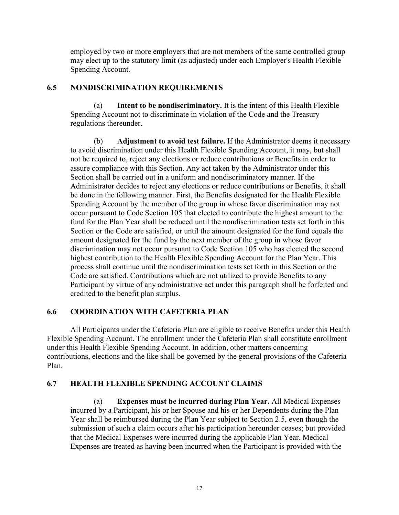employed by two or more employers that are not members of the same controlled group may elect up to the statutory limit (as adjusted) under each Employer's Health Flexible Spending Account.

## **6.5 NONDISCRIMINATION REQUIREMENTS**

(a) **Intent to be nondiscriminatory.** It is the intent of this Health Flexible Spending Account not to discriminate in violation of the Code and the Treasury regulations thereunder.

(b) **Adjustment to avoid test failure.** If the Administrator deems it necessary to avoid discrimination under this Health Flexible Spending Account, it may, but shall not be required to, reject any elections or reduce contributions or Benefits in order to assure compliance with this Section. Any act taken by the Administrator under this Section shall be carried out in a uniform and nondiscriminatory manner. If the Administrator decides to reject any elections or reduce contributions or Benefits, it shall be done in the following manner. First, the Benefits designated for the Health Flexible Spending Account by the member of the group in whose favor discrimination may not occur pursuant to Code Section 105 that elected to contribute the highest amount to the fund for the Plan Year shall be reduced until the nondiscrimination tests set forth in this Section or the Code are satisfied, or until the amount designated for the fund equals the amount designated for the fund by the next member of the group in whose favor discrimination may not occur pursuant to Code Section 105 who has elected the second highest contribution to the Health Flexible Spending Account for the Plan Year. This process shall continue until the nondiscrimination tests set forth in this Section or the Code are satisfied. Contributions which are not utilized to provide Benefits to any Participant by virtue of any administrative act under this paragraph shall be forfeited and credited to the benefit plan surplus.

## **6.6 COORDINATION WITH CAFETERIA PLAN**

All Participants under the Cafeteria Plan are eligible to receive Benefits under this Health Flexible Spending Account. The enrollment under the Cafeteria Plan shall constitute enrollment under this Health Flexible Spending Account. In addition, other matters concerning contributions, elections and the like shall be governed by the general provisions of the Cafeteria Plan.

## **6.7 HEALTH FLEXIBLE SPENDING ACCOUNT CLAIMS**

(a) **Expenses must be incurred during Plan Year.** All Medical Expenses incurred by a Participant, his or her Spouse and his or her Dependents during the Plan Year shall be reimbursed during the Plan Year subject to Section 2.5, even though the submission of such a claim occurs after his participation hereunder ceases; but provided that the Medical Expenses were incurred during the applicable Plan Year. Medical Expenses are treated as having been incurred when the Participant is provided with the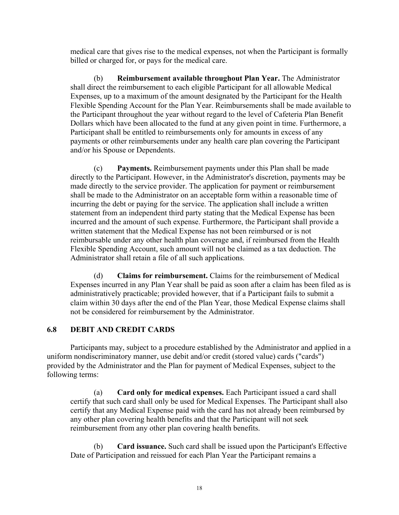medical care that gives rise to the medical expenses, not when the Participant is formally billed or charged for, or pays for the medical care.

(b) **Reimbursement available throughout Plan Year.** The Administrator shall direct the reimbursement to each eligible Participant for all allowable Medical Expenses, up to a maximum of the amount designated by the Participant for the Health Flexible Spending Account for the Plan Year. Reimbursements shall be made available to the Participant throughout the year without regard to the level of Cafeteria Plan Benefit Dollars which have been allocated to the fund at any given point in time. Furthermore, a Participant shall be entitled to reimbursements only for amounts in excess of any payments or other reimbursements under any health care plan covering the Participant and/or his Spouse or Dependents.

(c) **Payments.** Reimbursement payments under this Plan shall be made directly to the Participant. However, in the Administrator's discretion, payments may be made directly to the service provider. The application for payment or reimbursement shall be made to the Administrator on an acceptable form within a reasonable time of incurring the debt or paying for the service. The application shall include a written statement from an independent third party stating that the Medical Expense has been incurred and the amount of such expense. Furthermore, the Participant shall provide a written statement that the Medical Expense has not been reimbursed or is not reimbursable under any other health plan coverage and, if reimbursed from the Health Flexible Spending Account, such amount will not be claimed as a tax deduction. The Administrator shall retain a file of all such applications.

(d) **Claims for reimbursement.** Claims for the reimbursement of Medical Expenses incurred in any Plan Year shall be paid as soon after a claim has been filed as is administratively practicable; provided however, that if a Participant fails to submit a claim within 30 days after the end of the Plan Year, those Medical Expense claims shall not be considered for reimbursement by the Administrator.

## **6.8 DEBIT AND CREDIT CARDS**

Participants may, subject to a procedure established by the Administrator and applied in a uniform nondiscriminatory manner, use debit and/or credit (stored value) cards ("cards") provided by the Administrator and the Plan for payment of Medical Expenses, subject to the following terms:

(a) **Card only for medical expenses.** Each Participant issued a card shall certify that such card shall only be used for Medical Expenses. The Participant shall also certify that any Medical Expense paid with the card has not already been reimbursed by any other plan covering health benefits and that the Participant will not seek reimbursement from any other plan covering health benefits.

(b) **Card issuance.** Such card shall be issued upon the Participant's Effective Date of Participation and reissued for each Plan Year the Participant remains a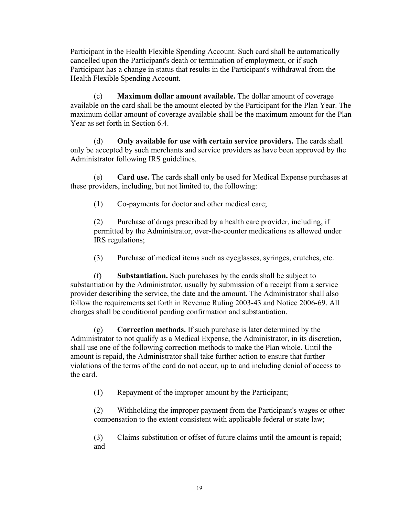Participant in the Health Flexible Spending Account. Such card shall be automatically cancelled upon the Participant's death or termination of employment, or if such Participant has a change in status that results in the Participant's withdrawal from the Health Flexible Spending Account.

(c) **Maximum dollar amount available.** The dollar amount of coverage available on the card shall be the amount elected by the Participant for the Plan Year. The maximum dollar amount of coverage available shall be the maximum amount for the Plan Year as set forth in Section 6.4.

(d) **Only available for use with certain service providers.** The cards shall only be accepted by such merchants and service providers as have been approved by the Administrator following IRS guidelines.

(e) **Card use.** The cards shall only be used for Medical Expense purchases at these providers, including, but not limited to, the following:

(1) Co-payments for doctor and other medical care;

(2) Purchase of drugs prescribed by a health care provider, including, if permitted by the Administrator, over-the-counter medications as allowed under IRS regulations;

(3) Purchase of medical items such as eyeglasses, syringes, crutches, etc.

(f) **Substantiation.** Such purchases by the cards shall be subject to substantiation by the Administrator, usually by submission of a receipt from a service provider describing the service, the date and the amount. The Administrator shall also follow the requirements set forth in Revenue Ruling 2003-43 and Notice 2006-69. All charges shall be conditional pending confirmation and substantiation.

(g) **Correction methods.** If such purchase is later determined by the Administrator to not qualify as a Medical Expense, the Administrator, in its discretion, shall use one of the following correction methods to make the Plan whole. Until the amount is repaid, the Administrator shall take further action to ensure that further violations of the terms of the card do not occur, up to and including denial of access to the card.

(1) Repayment of the improper amount by the Participant;

(2) Withholding the improper payment from the Participant's wages or other compensation to the extent consistent with applicable federal or state law;

(3) Claims substitution or offset of future claims until the amount is repaid; and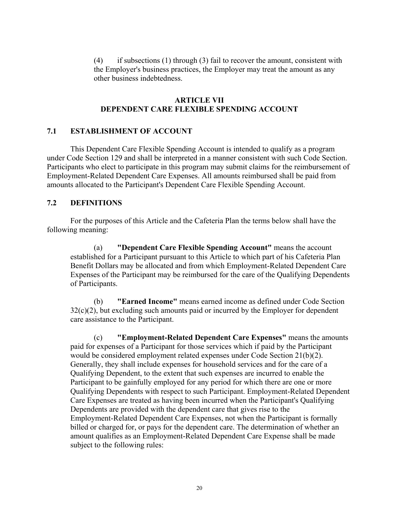(4) if subsections (1) through (3) fail to recover the amount, consistent with the Employer's business practices, the Employer may treat the amount as any other business indebtedness.

#### **ARTICLE VII DEPENDENT CARE FLEXIBLE SPENDING ACCOUNT**

#### **7.1 ESTABLISHMENT OF ACCOUNT**

This Dependent Care Flexible Spending Account is intended to qualify as a program under Code Section 129 and shall be interpreted in a manner consistent with such Code Section. Participants who elect to participate in this program may submit claims for the reimbursement of Employment-Related Dependent Care Expenses. All amounts reimbursed shall be paid from amounts allocated to the Participant's Dependent Care Flexible Spending Account.

#### **7.2 DEFINITIONS**

For the purposes of this Article and the Cafeteria Plan the terms below shall have the following meaning:

(a) **"Dependent Care Flexible Spending Account"** means the account established for a Participant pursuant to this Article to which part of his Cafeteria Plan Benefit Dollars may be allocated and from which Employment-Related Dependent Care Expenses of the Participant may be reimbursed for the care of the Qualifying Dependents of Participants.

(b) **"Earned Income"** means earned income as defined under Code Section  $32(c)(2)$ , but excluding such amounts paid or incurred by the Employer for dependent care assistance to the Participant.

(c) **"Employment-Related Dependent Care Expenses"** means the amounts paid for expenses of a Participant for those services which if paid by the Participant would be considered employment related expenses under Code Section 21(b)(2). Generally, they shall include expenses for household services and for the care of a Qualifying Dependent, to the extent that such expenses are incurred to enable the Participant to be gainfully employed for any period for which there are one or more Qualifying Dependents with respect to such Participant. Employment-Related Dependent Care Expenses are treated as having been incurred when the Participant's Qualifying Dependents are provided with the dependent care that gives rise to the Employment-Related Dependent Care Expenses, not when the Participant is formally billed or charged for, or pays for the dependent care. The determination of whether an amount qualifies as an Employment-Related Dependent Care Expense shall be made subject to the following rules: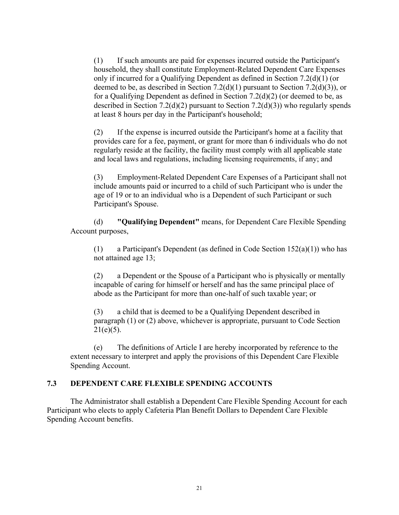(1) If such amounts are paid for expenses incurred outside the Participant's household, they shall constitute Employment-Related Dependent Care Expenses only if incurred for a Qualifying Dependent as defined in Section 7.2(d)(1) (or deemed to be, as described in Section  $7.2(d)(1)$  pursuant to Section  $7.2(d)(3)$ ), or for a Qualifying Dependent as defined in Section 7.2(d)(2) (or deemed to be, as described in Section 7.2(d)(2) pursuant to Section 7.2(d)(3)) who regularly spends at least 8 hours per day in the Participant's household;

(2) If the expense is incurred outside the Participant's home at a facility that provides care for a fee, payment, or grant for more than 6 individuals who do not regularly reside at the facility, the facility must comply with all applicable state and local laws and regulations, including licensing requirements, if any; and

(3) Employment-Related Dependent Care Expenses of a Participant shall not include amounts paid or incurred to a child of such Participant who is under the age of 19 or to an individual who is a Dependent of such Participant or such Participant's Spouse.

(d) **"Qualifying Dependent"** means, for Dependent Care Flexible Spending Account purposes,

(1) a Participant's Dependent (as defined in Code Section  $152(a)(1)$ ) who has not attained age 13;

(2) a Dependent or the Spouse of a Participant who is physically or mentally incapable of caring for himself or herself and has the same principal place of abode as the Participant for more than one-half of such taxable year; or

(3) a child that is deemed to be a Qualifying Dependent described in paragraph (1) or (2) above, whichever is appropriate, pursuant to Code Section  $21(e)(5)$ .

(e) The definitions of Article I are hereby incorporated by reference to the extent necessary to interpret and apply the provisions of this Dependent Care Flexible Spending Account.

## **7.3 DEPENDENT CARE FLEXIBLE SPENDING ACCOUNTS**

The Administrator shall establish a Dependent Care Flexible Spending Account for each Participant who elects to apply Cafeteria Plan Benefit Dollars to Dependent Care Flexible Spending Account benefits.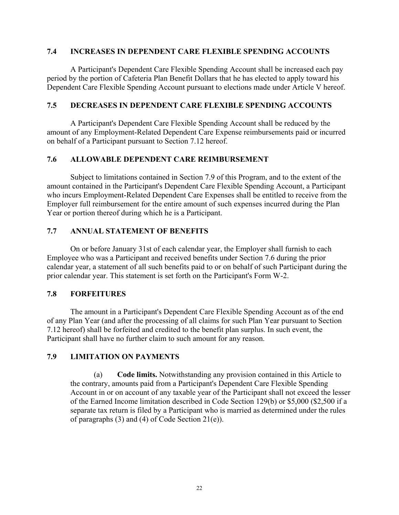## **7.4 INCREASES IN DEPENDENT CARE FLEXIBLE SPENDING ACCOUNTS**

A Participant's Dependent Care Flexible Spending Account shall be increased each pay period by the portion of Cafeteria Plan Benefit Dollars that he has elected to apply toward his Dependent Care Flexible Spending Account pursuant to elections made under Article V hereof.

## **7.5 DECREASES IN DEPENDENT CARE FLEXIBLE SPENDING ACCOUNTS**

A Participant's Dependent Care Flexible Spending Account shall be reduced by the amount of any Employment-Related Dependent Care Expense reimbursements paid or incurred on behalf of a Participant pursuant to Section 7.12 hereof.

## **7.6 ALLOWABLE DEPENDENT CARE REIMBURSEMENT**

Subject to limitations contained in Section 7.9 of this Program, and to the extent of the amount contained in the Participant's Dependent Care Flexible Spending Account, a Participant who incurs Employment-Related Dependent Care Expenses shall be entitled to receive from the Employer full reimbursement for the entire amount of such expenses incurred during the Plan Year or portion thereof during which he is a Participant.

## **7.7 ANNUAL STATEMENT OF BENEFITS**

On or before January 31st of each calendar year, the Employer shall furnish to each Employee who was a Participant and received benefits under Section 7.6 during the prior calendar year, a statement of all such benefits paid to or on behalf of such Participant during the prior calendar year. This statement is set forth on the Participant's Form W-2.

#### **7.8 FORFEITURES**

The amount in a Participant's Dependent Care Flexible Spending Account as of the end of any Plan Year (and after the processing of all claims for such Plan Year pursuant to Section 7.12 hereof) shall be forfeited and credited to the benefit plan surplus. In such event, the Participant shall have no further claim to such amount for any reason.

## **7.9 LIMITATION ON PAYMENTS**

(a) **Code limits.** Notwithstanding any provision contained in this Article to the contrary, amounts paid from a Participant's Dependent Care Flexible Spending Account in or on account of any taxable year of the Participant shall not exceed the lesser of the Earned Income limitation described in Code Section 129(b) or \$5,000 (\$2,500 if a separate tax return is filed by a Participant who is married as determined under the rules of paragraphs (3) and (4) of Code Section 21(e)).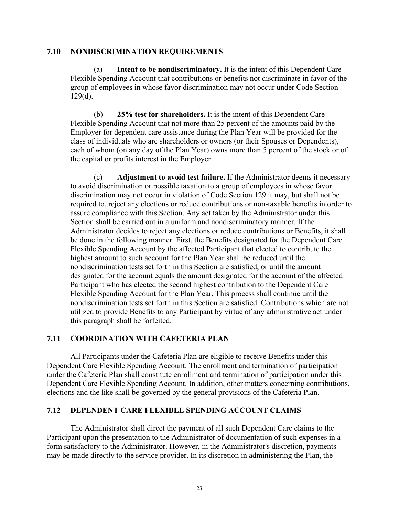#### **7.10 NONDISCRIMINATION REQUIREMENTS**

(a) **Intent to be nondiscriminatory.** It is the intent of this Dependent Care Flexible Spending Account that contributions or benefits not discriminate in favor of the group of employees in whose favor discrimination may not occur under Code Section  $129(d)$ .

(b) **25% test for shareholders.** It is the intent of this Dependent Care Flexible Spending Account that not more than 25 percent of the amounts paid by the Employer for dependent care assistance during the Plan Year will be provided for the class of individuals who are shareholders or owners (or their Spouses or Dependents), each of whom (on any day of the Plan Year) owns more than 5 percent of the stock or of the capital or profits interest in the Employer.

(c) **Adjustment to avoid test failure.** If the Administrator deems it necessary to avoid discrimination or possible taxation to a group of employees in whose favor discrimination may not occur in violation of Code Section 129 it may, but shall not be required to, reject any elections or reduce contributions or non-taxable benefits in order to assure compliance with this Section. Any act taken by the Administrator under this Section shall be carried out in a uniform and nondiscriminatory manner. If the Administrator decides to reject any elections or reduce contributions or Benefits, it shall be done in the following manner. First, the Benefits designated for the Dependent Care Flexible Spending Account by the affected Participant that elected to contribute the highest amount to such account for the Plan Year shall be reduced until the nondiscrimination tests set forth in this Section are satisfied, or until the amount designated for the account equals the amount designated for the account of the affected Participant who has elected the second highest contribution to the Dependent Care Flexible Spending Account for the Plan Year. This process shall continue until the nondiscrimination tests set forth in this Section are satisfied. Contributions which are not utilized to provide Benefits to any Participant by virtue of any administrative act under this paragraph shall be forfeited.

#### **7.11 COORDINATION WITH CAFETERIA PLAN**

All Participants under the Cafeteria Plan are eligible to receive Benefits under this Dependent Care Flexible Spending Account. The enrollment and termination of participation under the Cafeteria Plan shall constitute enrollment and termination of participation under this Dependent Care Flexible Spending Account. In addition, other matters concerning contributions, elections and the like shall be governed by the general provisions of the Cafeteria Plan.

#### **7.12 DEPENDENT CARE FLEXIBLE SPENDING ACCOUNT CLAIMS**

The Administrator shall direct the payment of all such Dependent Care claims to the Participant upon the presentation to the Administrator of documentation of such expenses in a form satisfactory to the Administrator. However, in the Administrator's discretion, payments may be made directly to the service provider. In its discretion in administering the Plan, the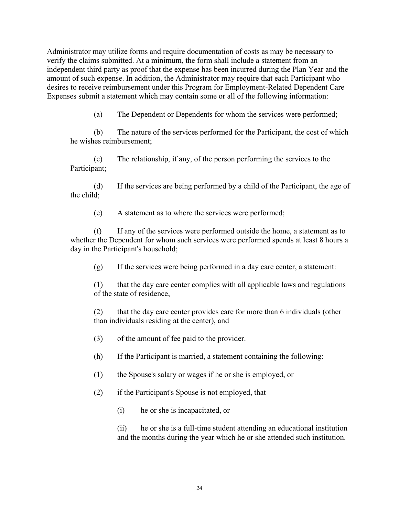Administrator may utilize forms and require documentation of costs as may be necessary to verify the claims submitted. At a minimum, the form shall include a statement from an independent third party as proof that the expense has been incurred during the Plan Year and the amount of such expense. In addition, the Administrator may require that each Participant who desires to receive reimbursement under this Program for Employment-Related Dependent Care Expenses submit a statement which may contain some or all of the following information:

(a) The Dependent or Dependents for whom the services were performed;

(b) The nature of the services performed for the Participant, the cost of which he wishes reimbursement;

(c) The relationship, if any, of the person performing the services to the Participant;

(d) If the services are being performed by a child of the Participant, the age of the child;

(e) A statement as to where the services were performed;

(f) If any of the services were performed outside the home, a statement as to whether the Dependent for whom such services were performed spends at least 8 hours a day in the Participant's household;

(g) If the services were being performed in a day care center, a statement:

(1) that the day care center complies with all applicable laws and regulations of the state of residence,

(2) that the day care center provides care for more than 6 individuals (other than individuals residing at the center), and

(3) of the amount of fee paid to the provider.

(h) If the Participant is married, a statement containing the following:

(1) the Spouse's salary or wages if he or she is employed, or

(2) if the Participant's Spouse is not employed, that

(i) he or she is incapacitated, or

(ii) he or she is a full-time student attending an educational institution and the months during the year which he or she attended such institution.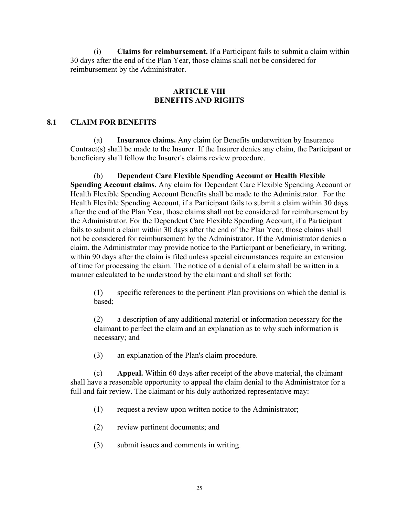(i) **Claims for reimbursement.** If a Participant fails to submit a claim within 30 days after the end of the Plan Year, those claims shall not be considered for reimbursement by the Administrator.

#### **ARTICLE VIII BENEFITS AND RIGHTS**

## **8.1 CLAIM FOR BENEFITS**

(a) **Insurance claims.** Any claim for Benefits underwritten by Insurance Contract(s) shall be made to the Insurer. If the Insurer denies any claim, the Participant or beneficiary shall follow the Insurer's claims review procedure.

(b) **Dependent Care Flexible Spending Account or Health Flexible Spending Account claims.** Any claim for Dependent Care Flexible Spending Account or Health Flexible Spending Account Benefits shall be made to the Administrator. For the Health Flexible Spending Account, if a Participant fails to submit a claim within 30 days after the end of the Plan Year, those claims shall not be considered for reimbursement by the Administrator. For the Dependent Care Flexible Spending Account, if a Participant fails to submit a claim within 30 days after the end of the Plan Year, those claims shall not be considered for reimbursement by the Administrator. If the Administrator denies a claim, the Administrator may provide notice to the Participant or beneficiary, in writing, within 90 days after the claim is filed unless special circumstances require an extension of time for processing the claim. The notice of a denial of a claim shall be written in a manner calculated to be understood by the claimant and shall set forth:

(1) specific references to the pertinent Plan provisions on which the denial is based;

(2) a description of any additional material or information necessary for the claimant to perfect the claim and an explanation as to why such information is necessary; and

(3) an explanation of the Plan's claim procedure.

(c) **Appeal.** Within 60 days after receipt of the above material, the claimant shall have a reasonable opportunity to appeal the claim denial to the Administrator for a full and fair review. The claimant or his duly authorized representative may:

- (1) request a review upon written notice to the Administrator;
- (2) review pertinent documents; and
- (3) submit issues and comments in writing.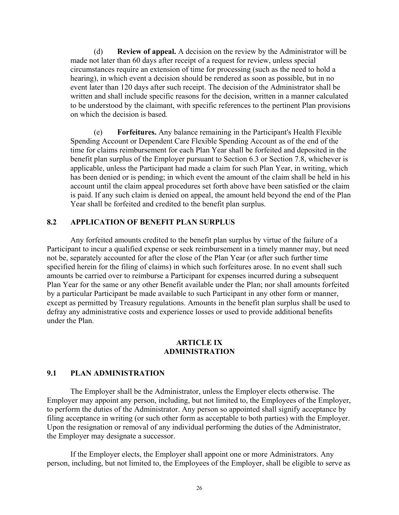(d) **Review of appeal.** A decision on the review by the Administrator will be made not later than 60 days after receipt of a request for review, unless special circumstances require an extension of time for processing (such as the need to hold a hearing), in which event a decision should be rendered as soon as possible, but in no event later than 120 days after such receipt. The decision of the Administrator shall be written and shall include specific reasons for the decision, written in a manner calculated to be understood by the claimant, with specific references to the pertinent Plan provisions on which the decision is based.

(e) **Forfeitures.** Any balance remaining in the Participant's Health Flexible Spending Account or Dependent Care Flexible Spending Account as of the end of the time for claims reimbursement for each Plan Year shall be forfeited and deposited in the benefit plan surplus of the Employer pursuant to Section 6.3 or Section 7.8, whichever is applicable, unless the Participant had made a claim for such Plan Year, in writing, which has been denied or is pending; in which event the amount of the claim shall be held in his account until the claim appeal procedures set forth above have been satisfied or the claim is paid. If any such claim is denied on appeal, the amount held beyond the end of the Plan Year shall be forfeited and credited to the benefit plan surplus.

#### **8.2 APPLICATION OF BENEFIT PLAN SURPLUS**

Any forfeited amounts credited to the benefit plan surplus by virtue of the failure of a Participant to incur a qualified expense or seek reimbursement in a timely manner may, but need not be, separately accounted for after the close of the Plan Year (or after such further time specified herein for the filing of claims) in which such forfeitures arose. In no event shall such amounts be carried over to reimburse a Participant for expenses incurred during a subsequent Plan Year for the same or any other Benefit available under the Plan; nor shall amounts forfeited by a particular Participant be made available to such Participant in any other form or manner, except as permitted by Treasury regulations. Amounts in the benefit plan surplus shall be used to defray any administrative costs and experience losses or used to provide additional benefits under the Plan.

#### **ARTICLE IX ADMINISTRATION**

#### **9.1 PLAN ADMINISTRATION**

The Employer shall be the Administrator, unless the Employer elects otherwise. The Employer may appoint any person, including, but not limited to, the Employees of the Employer, to perform the duties of the Administrator. Any person so appointed shall signify acceptance by filing acceptance in writing (or such other form as acceptable to both parties) with the Employer. Upon the resignation or removal of any individual performing the duties of the Administrator, the Employer may designate a successor.

If the Employer elects, the Employer shall appoint one or more Administrators. Any person, including, but not limited to, the Employees of the Employer, shall be eligible to serve as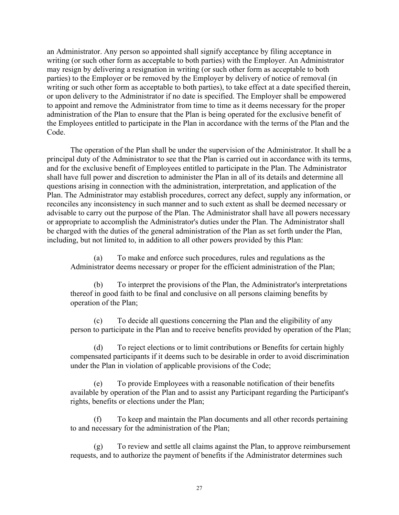an Administrator. Any person so appointed shall signify acceptance by filing acceptance in writing (or such other form as acceptable to both parties) with the Employer. An Administrator may resign by delivering a resignation in writing (or such other form as acceptable to both parties) to the Employer or be removed by the Employer by delivery of notice of removal (in writing or such other form as acceptable to both parties), to take effect at a date specified therein, or upon delivery to the Administrator if no date is specified. The Employer shall be empowered to appoint and remove the Administrator from time to time as it deems necessary for the proper administration of the Plan to ensure that the Plan is being operated for the exclusive benefit of the Employees entitled to participate in the Plan in accordance with the terms of the Plan and the Code.

The operation of the Plan shall be under the supervision of the Administrator. It shall be a principal duty of the Administrator to see that the Plan is carried out in accordance with its terms, and for the exclusive benefit of Employees entitled to participate in the Plan. The Administrator shall have full power and discretion to administer the Plan in all of its details and determine all questions arising in connection with the administration, interpretation, and application of the Plan. The Administrator may establish procedures, correct any defect, supply any information, or reconciles any inconsistency in such manner and to such extent as shall be deemed necessary or advisable to carry out the purpose of the Plan. The Administrator shall have all powers necessary or appropriate to accomplish the Administrator's duties under the Plan. The Administrator shall be charged with the duties of the general administration of the Plan as set forth under the Plan, including, but not limited to, in addition to all other powers provided by this Plan:

(a) To make and enforce such procedures, rules and regulations as the Administrator deems necessary or proper for the efficient administration of the Plan;

(b) To interpret the provisions of the Plan, the Administrator's interpretations thereof in good faith to be final and conclusive on all persons claiming benefits by operation of the Plan;

(c) To decide all questions concerning the Plan and the eligibility of any person to participate in the Plan and to receive benefits provided by operation of the Plan;

(d) To reject elections or to limit contributions or Benefits for certain highly compensated participants if it deems such to be desirable in order to avoid discrimination under the Plan in violation of applicable provisions of the Code;

(e) To provide Employees with a reasonable notification of their benefits available by operation of the Plan and to assist any Participant regarding the Participant's rights, benefits or elections under the Plan;

(f) To keep and maintain the Plan documents and all other records pertaining to and necessary for the administration of the Plan;

(g) To review and settle all claims against the Plan, to approve reimbursement requests, and to authorize the payment of benefits if the Administrator determines such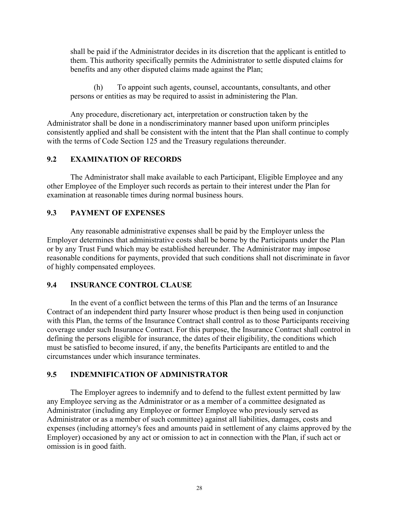shall be paid if the Administrator decides in its discretion that the applicant is entitled to them. This authority specifically permits the Administrator to settle disputed claims for benefits and any other disputed claims made against the Plan;

(h) To appoint such agents, counsel, accountants, consultants, and other persons or entities as may be required to assist in administering the Plan.

Any procedure, discretionary act, interpretation or construction taken by the Administrator shall be done in a nondiscriminatory manner based upon uniform principles consistently applied and shall be consistent with the intent that the Plan shall continue to comply with the terms of Code Section 125 and the Treasury regulations thereunder.

## **9.2 EXAMINATION OF RECORDS**

The Administrator shall make available to each Participant, Eligible Employee and any other Employee of the Employer such records as pertain to their interest under the Plan for examination at reasonable times during normal business hours.

## **9.3 PAYMENT OF EXPENSES**

Any reasonable administrative expenses shall be paid by the Employer unless the Employer determines that administrative costs shall be borne by the Participants under the Plan or by any Trust Fund which may be established hereunder. The Administrator may impose reasonable conditions for payments, provided that such conditions shall not discriminate in favor of highly compensated employees.

#### **9.4 INSURANCE CONTROL CLAUSE**

In the event of a conflict between the terms of this Plan and the terms of an Insurance Contract of an independent third party Insurer whose product is then being used in conjunction with this Plan, the terms of the Insurance Contract shall control as to those Participants receiving coverage under such Insurance Contract. For this purpose, the Insurance Contract shall control in defining the persons eligible for insurance, the dates of their eligibility, the conditions which must be satisfied to become insured, if any, the benefits Participants are entitled to and the circumstances under which insurance terminates.

## **9.5 INDEMNIFICATION OF ADMINISTRATOR**

The Employer agrees to indemnify and to defend to the fullest extent permitted by law any Employee serving as the Administrator or as a member of a committee designated as Administrator (including any Employee or former Employee who previously served as Administrator or as a member of such committee) against all liabilities, damages, costs and expenses (including attorney's fees and amounts paid in settlement of any claims approved by the Employer) occasioned by any act or omission to act in connection with the Plan, if such act or omission is in good faith.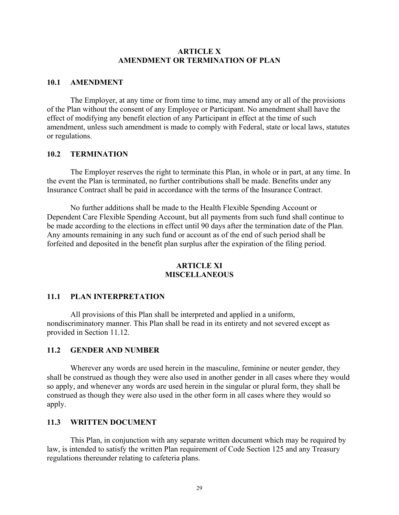#### **ARTICLE X AMENDMENT OR TERMINATION OF PLAN**

#### **10.1 AMENDMENT**

The Employer, at any time or from time to time, may amend any or all of the provisions of the Plan without the consent of any Employee or Participant. No amendment shall have the effect of modifying any benefit election of any Participant in effect at the time of such amendment, unless such amendment is made to comply with Federal, state or local laws, statutes or regulations.

#### **10.2 TERMINATION**

The Employer reserves the right to terminate this Plan, in whole or in part, at any time. In the event the Plan is terminated, no further contributions shall be made. Benefits under any Insurance Contract shall be paid in accordance with the terms of the Insurance Contract.

No further additions shall be made to the Health Flexible Spending Account or Dependent Care Flexible Spending Account, but all payments from such fund shall continue to be made according to the elections in effect until 90 days after the termination date of the Plan. Any amounts remaining in any such fund or account as of the end of such period shall be forfeited and deposited in the benefit plan surplus after the expiration of the filing period.

## **ARTICLE XI MISCELLANEOUS**

#### **11.1 PLAN INTERPRETATION**

All provisions of this Plan shall be interpreted and applied in a uniform, nondiscriminatory manner. This Plan shall be read in its entirety and not severed except as provided in Section 11.12.

#### **11.2 GENDER AND NUMBER**

Wherever any words are used herein in the masculine, feminine or neuter gender, they shall be construed as though they were also used in another gender in all cases where they would so apply, and whenever any words are used herein in the singular or plural form, they shall be construed as though they were also used in the other form in all cases where they would so apply.

#### **11.3 WRITTEN DOCUMENT**

This Plan, in conjunction with any separate written document which may be required by law, is intended to satisfy the written Plan requirement of Code Section 125 and any Treasury regulations thereunder relating to cafeteria plans.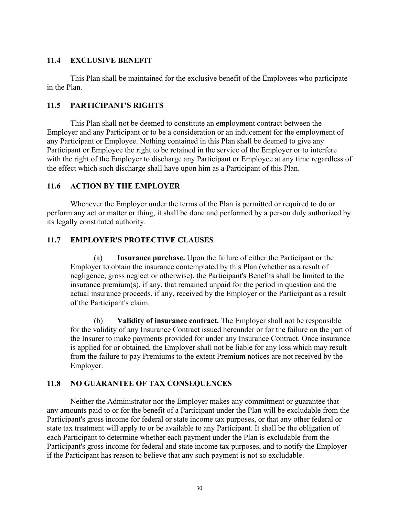## **11.4 EXCLUSIVE BENEFIT**

This Plan shall be maintained for the exclusive benefit of the Employees who participate in the Plan.

## **11.5 PARTICIPANT'S RIGHTS**

This Plan shall not be deemed to constitute an employment contract between the Employer and any Participant or to be a consideration or an inducement for the employment of any Participant or Employee. Nothing contained in this Plan shall be deemed to give any Participant or Employee the right to be retained in the service of the Employer or to interfere with the right of the Employer to discharge any Participant or Employee at any time regardless of the effect which such discharge shall have upon him as a Participant of this Plan.

## **11.6 ACTION BY THE EMPLOYER**

Whenever the Employer under the terms of the Plan is permitted or required to do or perform any act or matter or thing, it shall be done and performed by a person duly authorized by its legally constituted authority.

## **11.7 EMPLOYER'S PROTECTIVE CLAUSES**

(a) **Insurance purchase.** Upon the failure of either the Participant or the Employer to obtain the insurance contemplated by this Plan (whether as a result of negligence, gross neglect or otherwise), the Participant's Benefits shall be limited to the insurance premium(s), if any, that remained unpaid for the period in question and the actual insurance proceeds, if any, received by the Employer or the Participant as a result of the Participant's claim.

(b) **Validity of insurance contract.** The Employer shall not be responsible for the validity of any Insurance Contract issued hereunder or for the failure on the part of the Insurer to make payments provided for under any Insurance Contract. Once insurance is applied for or obtained, the Employer shall not be liable for any loss which may result from the failure to pay Premiums to the extent Premium notices are not received by the Employer.

## **11.8 NO GUARANTEE OF TAX CONSEQUENCES**

Neither the Administrator nor the Employer makes any commitment or guarantee that any amounts paid to or for the benefit of a Participant under the Plan will be excludable from the Participant's gross income for federal or state income tax purposes, or that any other federal or state tax treatment will apply to or be available to any Participant. It shall be the obligation of each Participant to determine whether each payment under the Plan is excludable from the Participant's gross income for federal and state income tax purposes, and to notify the Employer if the Participant has reason to believe that any such payment is not so excludable.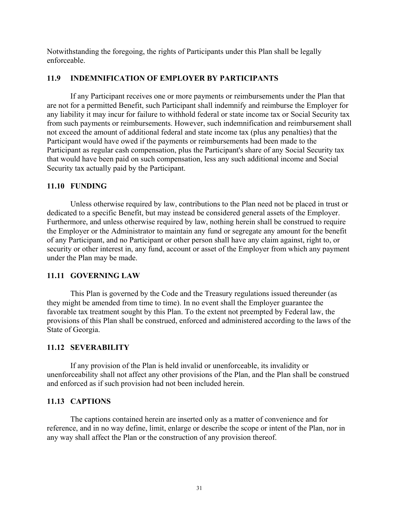Notwithstanding the foregoing, the rights of Participants under this Plan shall be legally enforceable.

## **11.9 INDEMNIFICATION OF EMPLOYER BY PARTICIPANTS**

If any Participant receives one or more payments or reimbursements under the Plan that are not for a permitted Benefit, such Participant shall indemnify and reimburse the Employer for any liability it may incur for failure to withhold federal or state income tax or Social Security tax from such payments or reimbursements. However, such indemnification and reimbursement shall not exceed the amount of additional federal and state income tax (plus any penalties) that the Participant would have owed if the payments or reimbursements had been made to the Participant as regular cash compensation, plus the Participant's share of any Social Security tax that would have been paid on such compensation, less any such additional income and Social Security tax actually paid by the Participant.

## **11.10 FUNDING**

Unless otherwise required by law, contributions to the Plan need not be placed in trust or dedicated to a specific Benefit, but may instead be considered general assets of the Employer. Furthermore, and unless otherwise required by law, nothing herein shall be construed to require the Employer or the Administrator to maintain any fund or segregate any amount for the benefit of any Participant, and no Participant or other person shall have any claim against, right to, or security or other interest in, any fund, account or asset of the Employer from which any payment under the Plan may be made.

## **11.11 GOVERNING LAW**

This Plan is governed by the Code and the Treasury regulations issued thereunder (as they might be amended from time to time). In no event shall the Employer guarantee the favorable tax treatment sought by this Plan. To the extent not preempted by Federal law, the provisions of this Plan shall be construed, enforced and administered according to the laws of the State of Georgia.

#### **11.12 SEVERABILITY**

If any provision of the Plan is held invalid or unenforceable, its invalidity or unenforceability shall not affect any other provisions of the Plan, and the Plan shall be construed and enforced as if such provision had not been included herein.

## **11.13 CAPTIONS**

The captions contained herein are inserted only as a matter of convenience and for reference, and in no way define, limit, enlarge or describe the scope or intent of the Plan, nor in any way shall affect the Plan or the construction of any provision thereof.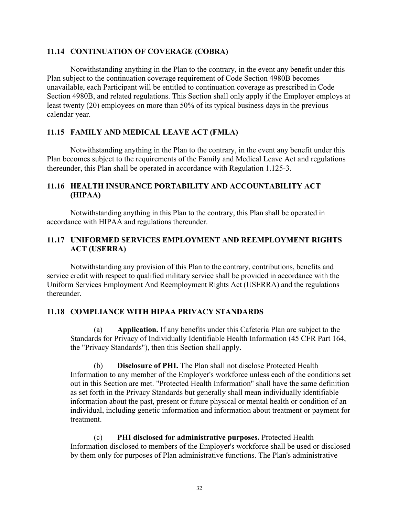#### **11.14 CONTINUATION OF COVERAGE (COBRA)**

Notwithstanding anything in the Plan to the contrary, in the event any benefit under this Plan subject to the continuation coverage requirement of Code Section 4980B becomes unavailable, each Participant will be entitled to continuation coverage as prescribed in Code Section 4980B, and related regulations. This Section shall only apply if the Employer employs at least twenty (20) employees on more than 50% of its typical business days in the previous calendar year.

## **11.15 FAMILY AND MEDICAL LEAVE ACT (FMLA)**

Notwithstanding anything in the Plan to the contrary, in the event any benefit under this Plan becomes subject to the requirements of the Family and Medical Leave Act and regulations thereunder, this Plan shall be operated in accordance with Regulation 1.125-3.

## **11.16 HEALTH INSURANCE PORTABILITY AND ACCOUNTABILITY ACT (HIPAA)**

Notwithstanding anything in this Plan to the contrary, this Plan shall be operated in accordance with HIPAA and regulations thereunder.

## **11.17 UNIFORMED SERVICES EMPLOYMENT AND REEMPLOYMENT RIGHTS ACT (USERRA)**

Notwithstanding any provision of this Plan to the contrary, contributions, benefits and service credit with respect to qualified military service shall be provided in accordance with the Uniform Services Employment And Reemployment Rights Act (USERRA) and the regulations thereunder.

## **11.18 COMPLIANCE WITH HIPAA PRIVACY STANDARDS**

(a) **Application.** If any benefits under this Cafeteria Plan are subject to the Standards for Privacy of Individually Identifiable Health Information (45 CFR Part 164, the "Privacy Standards"), then this Section shall apply.

(b) **Disclosure of PHI.** The Plan shall not disclose Protected Health Information to any member of the Employer's workforce unless each of the conditions set out in this Section are met. "Protected Health Information" shall have the same definition as set forth in the Privacy Standards but generally shall mean individually identifiable information about the past, present or future physical or mental health or condition of an individual, including genetic information and information about treatment or payment for treatment.

(c) **PHI disclosed for administrative purposes.** Protected Health Information disclosed to members of the Employer's workforce shall be used or disclosed by them only for purposes of Plan administrative functions. The Plan's administrative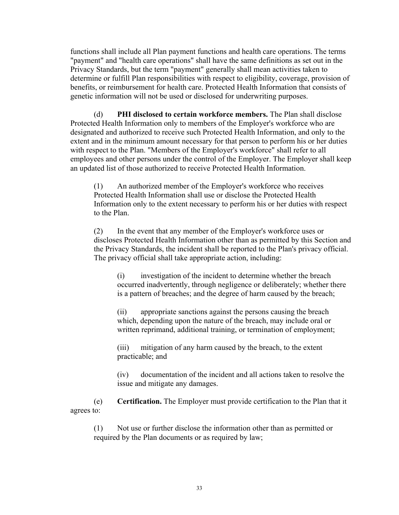functions shall include all Plan payment functions and health care operations. The terms "payment" and "health care operations" shall have the same definitions as set out in the Privacy Standards, but the term "payment" generally shall mean activities taken to determine or fulfill Plan responsibilities with respect to eligibility, coverage, provision of benefits, or reimbursement for health care. Protected Health Information that consists of genetic information will not be used or disclosed for underwriting purposes.

(d) **PHI disclosed to certain workforce members.** The Plan shall disclose Protected Health Information only to members of the Employer's workforce who are designated and authorized to receive such Protected Health Information, and only to the extent and in the minimum amount necessary for that person to perform his or her duties with respect to the Plan. "Members of the Employer's workforce" shall refer to all employees and other persons under the control of the Employer. The Employer shall keep an updated list of those authorized to receive Protected Health Information.

(1) An authorized member of the Employer's workforce who receives Protected Health Information shall use or disclose the Protected Health Information only to the extent necessary to perform his or her duties with respect to the Plan.

(2) In the event that any member of the Employer's workforce uses or discloses Protected Health Information other than as permitted by this Section and the Privacy Standards, the incident shall be reported to the Plan's privacy official. The privacy official shall take appropriate action, including:

(i) investigation of the incident to determine whether the breach occurred inadvertently, through negligence or deliberately; whether there is a pattern of breaches; and the degree of harm caused by the breach;

(ii) appropriate sanctions against the persons causing the breach which, depending upon the nature of the breach, may include oral or written reprimand, additional training, or termination of employment;

(iii) mitigation of any harm caused by the breach, to the extent practicable; and

(iv) documentation of the incident and all actions taken to resolve the issue and mitigate any damages.

(e) **Certification.** The Employer must provide certification to the Plan that it agrees to:

(1) Not use or further disclose the information other than as permitted or required by the Plan documents or as required by law;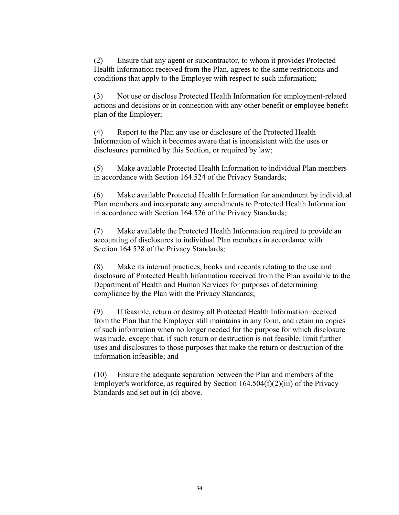(2) Ensure that any agent or subcontractor, to whom it provides Protected Health Information received from the Plan, agrees to the same restrictions and conditions that apply to the Employer with respect to such information;

(3) Not use or disclose Protected Health Information for employment-related actions and decisions or in connection with any other benefit or employee benefit plan of the Employer;

(4) Report to the Plan any use or disclosure of the Protected Health Information of which it becomes aware that is inconsistent with the uses or disclosures permitted by this Section, or required by law;

(5) Make available Protected Health Information to individual Plan members in accordance with Section 164.524 of the Privacy Standards;

(6) Make available Protected Health Information for amendment by individual Plan members and incorporate any amendments to Protected Health Information in accordance with Section 164.526 of the Privacy Standards;

(7) Make available the Protected Health Information required to provide an accounting of disclosures to individual Plan members in accordance with Section 164.528 of the Privacy Standards;

(8) Make its internal practices, books and records relating to the use and disclosure of Protected Health Information received from the Plan available to the Department of Health and Human Services for purposes of determining compliance by the Plan with the Privacy Standards;

(9) If feasible, return or destroy all Protected Health Information received from the Plan that the Employer still maintains in any form, and retain no copies of such information when no longer needed for the purpose for which disclosure was made, except that, if such return or destruction is not feasible, limit further uses and disclosures to those purposes that make the return or destruction of the information infeasible; and

(10) Ensure the adequate separation between the Plan and members of the Employer's workforce, as required by Section  $164.504(f)(2)(iii)$  of the Privacy Standards and set out in (d) above.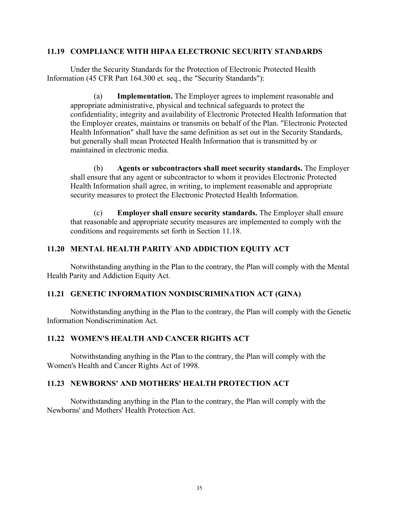#### **11.19 COMPLIANCE WITH HIPAA ELECTRONIC SECURITY STANDARDS**

Under the Security Standards for the Protection of Electronic Protected Health Information (45 CFR Part 164.300 et. seq., the "Security Standards"):

(a) **Implementation.** The Employer agrees to implement reasonable and appropriate administrative, physical and technical safeguards to protect the confidentiality, integrity and availability of Electronic Protected Health Information that the Employer creates, maintains or transmits on behalf of the Plan. "Electronic Protected Health Information" shall have the same definition as set out in the Security Standards, but generally shall mean Protected Health Information that is transmitted by or maintained in electronic media.

(b) **Agents or subcontractors shall meet security standards.** The Employer shall ensure that any agent or subcontractor to whom it provides Electronic Protected Health Information shall agree, in writing, to implement reasonable and appropriate security measures to protect the Electronic Protected Health Information.

(c) **Employer shall ensure security standards.** The Employer shall ensure that reasonable and appropriate security measures are implemented to comply with the conditions and requirements set forth in Section 11.18.

## **11.20 MENTAL HEALTH PARITY AND ADDICTION EQUITY ACT**

Notwithstanding anything in the Plan to the contrary, the Plan will comply with the Mental Health Parity and Addiction Equity Act.

#### **11.21 GENETIC INFORMATION NONDISCRIMINATION ACT (GINA)**

Notwithstanding anything in the Plan to the contrary, the Plan will comply with the Genetic Information Nondiscrimination Act.

#### **11.22 WOMEN'S HEALTH AND CANCER RIGHTS ACT**

Notwithstanding anything in the Plan to the contrary, the Plan will comply with the Women's Health and Cancer Rights Act of 1998.

#### **11.23 NEWBORNS' AND MOTHERS' HEALTH PROTECTION ACT**

Notwithstanding anything in the Plan to the contrary, the Plan will comply with the Newborns' and Mothers' Health Protection Act.